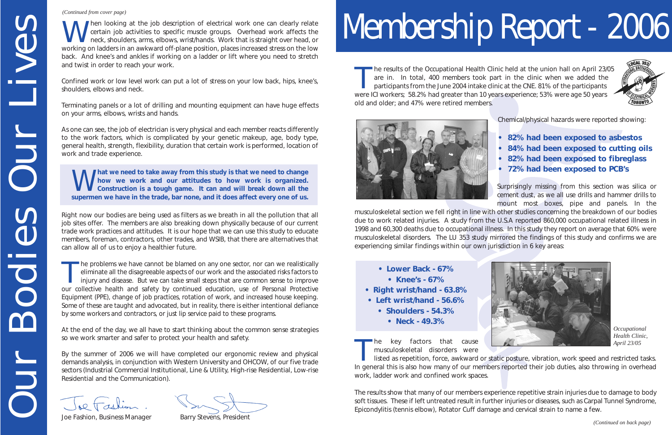# Membership Report - 2006

The results of the Occupational Health Clinic held at the union hall on April 23/05<br>are in. In total, 400 members took part in the clinic when we added the<br>participants from the June 2004 intake clinic at the CNE. 81% of t were ICI workers; 58.2% had greater than 10 years experience; 53% were age 50 years old and older; and 47% were retired members.



Chemical/physical hazards were reported showing:

- **• 82% had been exposed to asbestos**
- **84% had been exposed to cutting oils**
- **• 82% had been exposed to fibreglass**
- **• 72% had been exposed to PCB's**

Surprisingly missing from this section was silica or cement dust, as we all use drills and hammer drills to mount most boxes, pipe and panels. In the musculoskeletal section we fell right in line with other studies concerning the breakdown of our bodies due to work related injuries. A study from the U.S.A reported 860,000 occupational related illness in 1998 and 60,300 deaths due to occupational illness. In this study they report on average that 60% were musculoskeletal disorders. The LU 353 study mirrored the findings of this study and confirms we are experiencing similar findings within our own jurisdiction in 6 key areas:

The key factors that cause<br>
musculoskeletal disorders were<br>
listed as repetition, force, awkward or static posture, vibration, work speed and restricted tasks. In general this is also how many of our members reported their job duties, also throwing in overhead work, ladder work and confined work spaces. *April 23/05*

Then looking at the job description of electrical work one can clearly relate<br>certain job activities to specific muscle groups. Overhead work affects the<br>neck, shoulders, arms, elbows, wrist/hands. Work that is straight ov working on ladders in an awkward off-plane position, places increased stress on the low back. And knee's and ankles if working on a ladder or lift where you need to stretch and twist in order to reach your work.

> The results show that many of our members experience repetitive strain injuries due to damage to body soft tissues. These if left untreated result in further injuries or diseases, such as Carpal Tunnel Syndrome, Epicondylitis (tennis elbow), Rotator Cuff damage and cervical strain to name a few.



- **Lower Back 67%**
- **Knee's 67%**
- **Right wrist/hand 63.8%**
- **Left wrist/hand 56.6%**
	- **Shoulders 54.3%**
		- **Neck 49.3%**



*Occupational Health Clinic,*

*(Continued on back page)*

Confined work or low level work can put a lot of stress on your low back, hips, knee's, shoulders, elbows and neck.

Terminating panels or a lot of drilling and mounting equipment can have huge effects on your arms, elbows, wrists and hands.

As one can see, the job of electrician is very physical and each member reacts differently to the work factors, which is complicated by your genetic makeup, age, body type, general health, strength, flexibility, duration that certain work is performed, location of work and trade experience.

W**hat we need to take away from this study is that we need to change how we work and our attitudes to how work is organized. Construction is a tough game. It can and will break down all the supermen we have in the trade, bar none, and it does affect every one of us.**

Right now our bodies are being used as filters as we breath in all the pollution that all job sites offer. The members are also breaking down physically because of our current trade work practices and attitudes. It is our hope that we can use this study to educate members, foreman, contractors, other trades, and WSIB, that there are alternatives that can allow all of us to enjoy a healthier future.

The problems we have cannot be blamed on any one sector, nor can we realistically eliminate all the disagreeable aspects of our work and the associated risks factors to injury and disease. But we can take small steps that our collective health and safety by continued education, use of Personal Protective Equipment (PPE), change of job practices, rotation of work, and increased house keeping. Some of these are taught and advocated, but in reality, there is either intentional defiance by some workers and contractors, or just lip service paid to these programs. Courses The transfer and the spot description of electrical works<br>
working on Mederina mankward of Fasten position, piaces for<br>
working on Mederina mankward of Fasten position, piaces for<br>
which order to reach your work.<br>

At the end of the day, we all have to start thinking about the common sense strategies so we work smarter and safer to protect your health and safety.

By the summer of 2006 we will have completed our ergonomic review and physical demands analysis, in conjunction with Western University and OHCOW, of our five trade sectors (Industrial Commercial Institutional, Line & Utility, High-rise Residential, Low-rise Residential and the Communication).